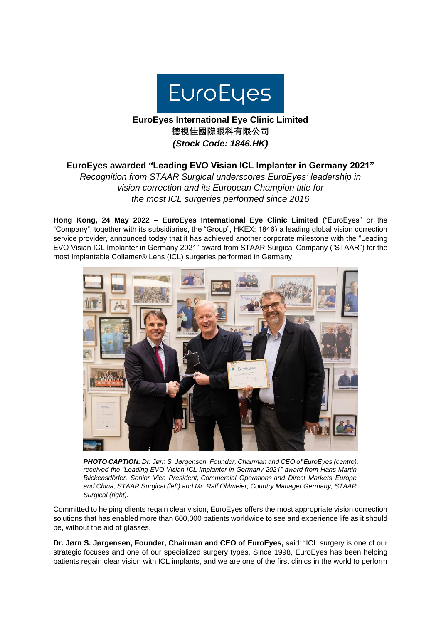

## **EuroEyes International Eye Clinic Limited 德視佳國際眼科有限公司** *(Stock Code: 1846.HK)*

## **EuroEyes awarded "Leading EVO Visian ICL Implanter in Germany 2021"**

*Recognition from STAAR Surgical underscores EuroEyes' leadership in vision correction and its European Champion title for the most ICL surgeries performed since 2016*

**Hong Kong, 24 May 2022 – EuroEyes International Eye Clinic Limited** ("EuroEyes" or the "Company", together with its subsidiaries, the "Group", HKEX: 1846) a leading global vision correction service provider, announced today that it has achieved another corporate milestone with the "Leading EVO Visian ICL Implanter in Germany 2021" award from STAAR Surgical Company ("STAAR") for the most Implantable Collamer® Lens (ICL) surgeries performed in Germany.



*PHOTO CAPTION: Dr. Jørn S. Jørgensen, Founder, Chairman and CEO of EuroEyes (centre), received the "Leading EVO Visian ICL Implanter in Germany 2021" award from Hans-Martin Blickensdörfer, Senior Vice President, Commercial Operations and Direct Markets Europe and China, STAAR Surgical (left) and Mr. Ralf Ohlmeier, Country Manager Germany, STAAR Surgical (right).*

Committed to helping clients regain clear vision, EuroEyes offers the most appropriate vision correction solutions that has enabled more than 600,000 patients worldwide to see and experience life as it should be, without the aid of glasses.

**Dr. Jørn S. Jørgensen, Founder, Chairman and CEO of EuroEyes,** said: "ICL surgery is one of our strategic focuses and one of our specialized surgery types. Since 1998, EuroEyes has been helping patients regain clear vision with ICL implants, and we are one of the first clinics in the world to perform